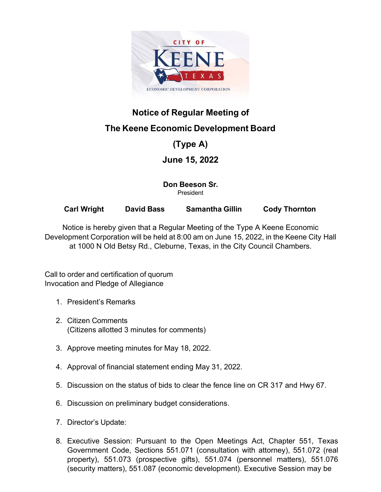

## **Notice of Regular Meeting of**

## **The Keene Economic Development Board**

## **(Type A)**

### **June 15, 2022**

**Don Beeson Sr.** President

**Carl Wright David Bass Samantha Gillin Cody Thornton**

Notice is hereby given that a Regular Meeting of the Type A Keene Economic Development Corporation will be held at 8:00 am on June 15, 2022, in the Keene City Hall at 1000 N Old Betsy Rd., Cleburne, Texas, in the City Council Chambers.

Call to order and certification of quorum Invocation and Pledge of Allegiance

- 1. President's Remarks
- 2. Citizen Comments (Citizens allotted 3 minutes for comments)
- 3. Approve meeting minutes for May 18, 2022.
- 4. Approval of financial statement ending May 31, 2022.
- 5. Discussion on the status of bids to clear the fence line on CR 317 and Hwy 67.
- 6. Discussion on preliminary budget considerations.
- 7. Director's Update:
- 8. Executive Session: Pursuant to the Open Meetings Act, Chapter 551, Texas Government Code, Sections 551.071 (consultation with attorney), 551.072 (real property), 551.073 (prospective gifts), 551.074 (personnel matters), 551.076 (security matters), 551.087 (economic development). Executive Session may be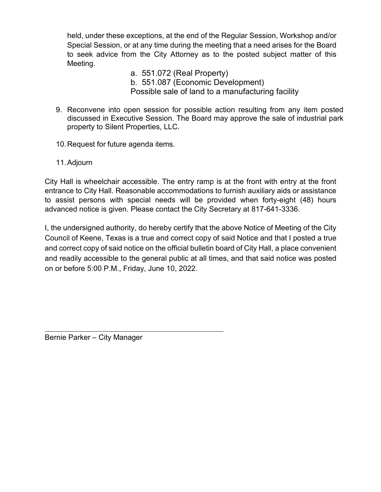held, under these exceptions, at the end of the Regular Session, Workshop and/or Special Session, or at any time during the meeting that a need arises for the Board to seek advice from the City Attorney as to the posted subject matter of this Meeting.

- a. 551.072 (Real Property) b. 551.087 (Economic Development) Possible sale of land to a manufacturing facility
- 9. Reconvene into open session for possible action resulting from any item posted discussed in Executive Session. The Board may approve the sale of industrial park property to Silent Properties, LLC.
- 10.Request for future agenda items.
- 11.Adjourn

City Hall is wheelchair accessible. The entry ramp is at the front with entry at the front entrance to City Hall. Reasonable accommodations to furnish auxiliary aids or assistance to assist persons with special needs will be provided when forty-eight (48) hours advanced notice is given. Please contact the City Secretary at 817-641-3336.

I, the undersigned authority, do hereby certify that the above Notice of Meeting of the City Council of Keene, Texas is a true and correct copy of said Notice and that I posted a true and correct copy of said notice on the official bulletin board of City Hall, a place convenient and readily accessible to the general public at all times, and that said notice was posted on or before 5:00 P.M., Friday, June 10, 2022.

Bernie Parker – City Manager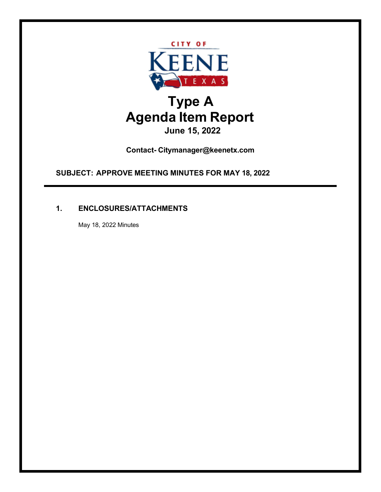

**Contact- Citymanager@keenetx.com**

**SUBJECT: APPROVE MEETING MINUTES FOR MAY 18, 2022**

### **1. ENCLOSURES/ATTACHMENTS**

May 18, 2022 Minutes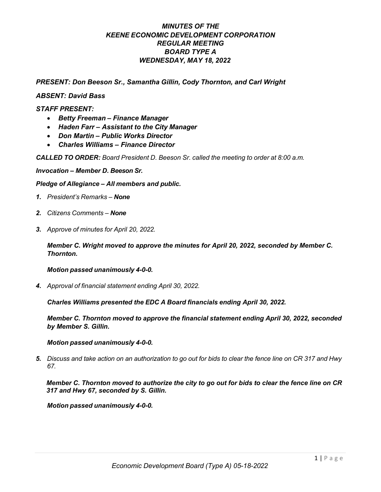#### *MINUTES OF THE KEENE ECONOMIC DEVELOPMENT CORPORATION REGULAR MEETING BOARD TYPE A WEDNESDAY, MAY 18, 2022*

*PRESENT: Don Beeson Sr., Samantha Gillin, Cody Thornton, and Carl Wright* 

#### *ABSENT: David Bass*

#### *STAFF PRESENT:*

- *Betty Freeman – Finance Manager*
- *Haden Farr – Assistant to the City Manager*
- *Don Martin – Public Works Director*
- *Charles Williams – Finance Director*

*CALLED TO ORDER: Board President D. Beeson Sr. called the meeting to order at 8:00 a.m.*

*Invocation – Member D. Beeson Sr.*

*Pledge of Allegiance – All members and public.*

- *1. President's Remarks – None*
- *2. Citizens Comments – None*
- *3. Approve of minutes for April 20, 2022.*

*Member C. Wright moved to approve the minutes for April 20, 2022, seconded by Member C. Thornton.*

#### *Motion passed unanimously 4-0-0.*

*4. Approval of financial statement ending April 30, 2022.*

*Charles Williams presented the EDC A Board financials ending April 30, 2022.*

*Member C. Thornton moved to approve the financial statement ending April 30, 2022, seconded by Member S. Gillin.*

#### *Motion passed unanimously 4-0-0.*

*5. Discuss and take action on an authorization to go out for bids to clear the fence line on CR 317 and Hwy 67.*

*Member C. Thornton moved to authorize the city to go out for bids to clear the fence line on CR 317 and Hwy 67, seconded by S. Gillin.* 

*Motion passed unanimously 4-0-0.*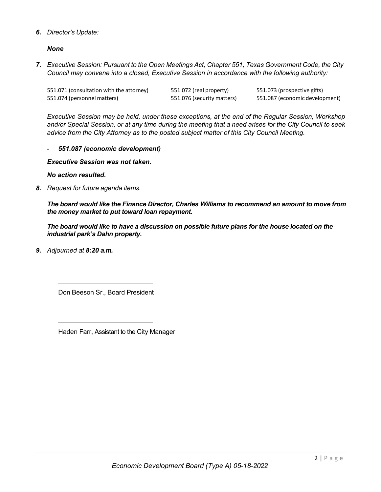#### *6. Director's Update:*

*None*

*7. Executive Session: Pursuant to the Open Meetings Act, Chapter 551, Texas Government Code, the City Council may convene into a closed, Executive Session in accordance with the following authority:*

| 551.071 (consultation with the attorney) | 551.072 (real property)    | 551.073 (prospective gifts)    |
|------------------------------------------|----------------------------|--------------------------------|
| 551.074 (personnel matters)              | 551.076 (security matters) | 551.087 (economic development) |

*Executive Session may be held, under these exceptions, at the end of the Regular Session, Workshop*  and/or Special Session, or at any time during the meeting that a need arises for the City Council to seek *advice from the City Attorney as to the posted subject matter of this City Council Meeting.*

- *551.087 (economic development)* 

*Executive Session was not taken.*

*No action resulted.* 

*8. Request for future agenda items.*

*The board would like the Finance Director, Charles Williams to recommend an amount to move from the money market to put toward loan repayment.* 

*The board would like to have a discussion on possible future plans for the house located on the industrial park's Dahn property.* 

*9. Adjourned at 8:20 a.m.*

Don Beeson Sr., Board President

Haden Farr, Assistant to the City Manager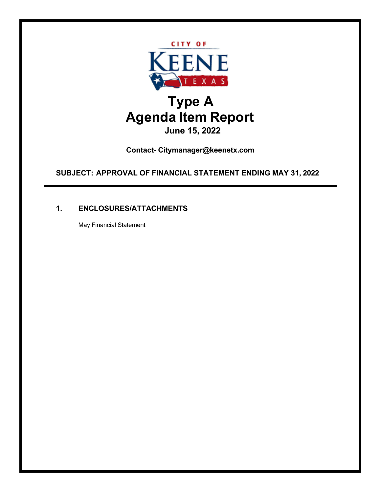

**Contact- Citymanager@keenetx.com**

**SUBJECT: APPROVAL OF FINANCIAL STATEMENT ENDING MAY 31, 2022**

### **1. ENCLOSURES/ATTACHMENTS**

May Financial Statement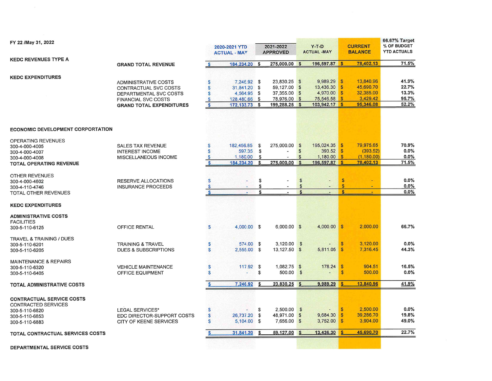| FY 22 /May 31, 2022                      |                                 | 2020-2021 YTD<br><b>ACTUAL - MAY</b> |               | 2021-2022<br><b>APPROVED</b> |               |                | $Y-T-D$<br><b>ACTUAL -MAY</b> | <b>CURRENT</b><br><b>BALANCE</b> |             | 66.67% Target<br>% OF BUDGET<br><b>YTD ACTUALS</b> |
|------------------------------------------|---------------------------------|--------------------------------------|---------------|------------------------------|---------------|----------------|-------------------------------|----------------------------------|-------------|----------------------------------------------------|
| <b>KEDC REVENUES TYPE A</b>              |                                 |                                      |               |                              |               |                |                               |                                  |             |                                                    |
|                                          | <b>GRAND TOTAL REVENUE</b>      | s                                    | 184,234.20    | \$                           | 275,000.00    | $\mathbf{s}$   | 196,597.87 \$                 |                                  | 78,402.13   | 71.5%                                              |
| <b>KEDC EXPENDITURES</b>                 |                                 |                                      |               |                              |               |                |                               |                                  |             |                                                    |
|                                          | <b>ADMINISTRATIVE COSTS</b>     | S                                    | 7,246.92 \$   |                              | 23,830.25 \$  |                | 9,989.29                      | $\mathbf{s}$                     | 13,840.96   | 41.9%                                              |
|                                          | CONTRACTUAL SVC COSTS           | S                                    | 31,841.20 \$  |                              | 59,127.00 \$  |                | 13,436.30                     | <b>S</b>                         | 45,690.70   | 22.7%                                              |
|                                          | DEPARTMENTAL SVC COSTS          | S                                    | 4,564.95 \$   |                              | 37,355.00 \$  |                | 4,970.00                      | $\mathbf{s}$                     | 32,385.00   | 13.3%                                              |
|                                          | <b>FINANCIAL SVC COSTS</b>      | S                                    | 128,480.66 \$ |                              | 78,976.00 \$  |                | 75,546.58                     | $\mathbf{s}$                     | 3,429.42    | 95.7%                                              |
|                                          | <b>GRAND TOTAL EXPENDITURES</b> | $\mathbf{s}$                         | 172, 133. 73  | \$                           | 199,288.25 \$ |                | 103,942.17                    | $\mathbf{s}$                     | 95,346.08   | 52.2%                                              |
|                                          |                                 |                                      |               |                              |               |                |                               |                                  |             |                                                    |
| <b>ECONOMIC DEVELOPMENT CORPORTATION</b> |                                 |                                      |               |                              |               |                |                               |                                  |             |                                                    |
| OPERATING REVENUES                       |                                 |                                      |               |                              |               |                |                               |                                  |             |                                                    |
| 300-4-000-4005                           | <b>SALES TAX REVENUE</b>        | S                                    | 182,456.85 \$ |                              | 275,000.00 \$ |                | 195,024.35 \$                 |                                  | 79,975.65   | 70.9%                                              |
| 300-4-000-4007                           | <b>INTEREST INCOME</b>          | S                                    | 597.35        | \$                           |               | $\mathfrak{s}$ | 393.52                        | $\mathcal{S}$                    | (393.52)    | 0.0%                                               |
| 300-4-000-4008                           | MISCELLANEOUS INCOME            | S                                    | 1,180.00      | \$                           |               | \$             | 1,180.00                      | $\mathbf{s}$                     | (1, 180.00) | 0.0%                                               |
| <b>TOTAL OPERATING REVENUE</b>           |                                 | S                                    | 184,234.20    | \$                           | 275,000.00    | \$             | 196,597.87 \$                 |                                  | 78,402.13   | 71.5%                                              |
| <b>OTHER REVENUES</b>                    |                                 |                                      |               |                              |               |                |                               |                                  |             |                                                    |
| 300-4-000-4602                           | <b>RESERVE ALLOCATIONS</b>      | S                                    |               | \$                           |               | \$             |                               | <b>S</b>                         |             | 0.0%                                               |
| 300-4-110-4746                           | <b>INSURANCE PROCEEDS</b>       | S                                    |               | \$                           |               | \$             |                               | <sub>\$</sub>                    | ٠           | 0.0%                                               |
| TOTAL OTHER REVENUES                     |                                 | S                                    |               | \$                           |               | $\mathbf{r}$   |                               | Ŝ                                |             | 0.0%                                               |
| <b>KEDC EXPENDITURES</b>                 |                                 |                                      |               |                              |               |                |                               |                                  |             |                                                    |
| <b>ADMINISTRATIVE COSTS</b>              |                                 |                                      |               |                              |               |                |                               |                                  |             |                                                    |
| <b>FACILITIES</b>                        |                                 |                                      |               |                              |               |                |                               |                                  |             |                                                    |
| 300-5-110-6125                           | OFFICE RENTAL                   | S                                    | $4,000.00$ \$ |                              | $6,000.00$ \$ |                | $4,000.00$ \$                 |                                  | 2,000.00    | 66.7%                                              |
| <b>TRAVEL &amp; TRAINING / DUES</b>      |                                 |                                      |               |                              |               |                |                               |                                  |             |                                                    |
| 300-5-110-6201                           | <b>TRAINING &amp; TRAVEL</b>    | S                                    | 574.00 \$     |                              | $3,120.00$ \$ |                |                               | $\mathcal{S}$                    | 3,120.00    | 0.0%                                               |
| 300-5-110-6205                           | <b>DUES &amp; SUBSCRIPTIONS</b> | S                                    | $2,555.00$ \$ |                              | 13,127.50 \$  |                | $5,811.05$ \$                 |                                  | 7.316.45    | 44.3%                                              |
| <b>MAINTENANCE &amp; REPAIRS</b>         |                                 |                                      |               |                              |               |                |                               |                                  |             |                                                    |
| 300-5-110-6320                           | <b>VEHICLE MAINTENANCE</b>      | S                                    | $117.92$ \$   |                              | 1,082.75 \$   |                | $178.24$ \$                   |                                  | 904.51      | 16.5%                                              |
| 300-5-110-6405                           | OFFICE EQUIPMENT                | S                                    |               | \$                           | 500.00        | $\mathbf{s}$   |                               | <b>S</b>                         | 500.00      | $0.0\%$                                            |
| <b>TOTAL ADMINISTRATIVE COSTS</b>        |                                 |                                      | 7,246.92      | \$                           | 23,830.25     | $\mathbf{s}$   | 9,989.29                      | S                                | 13,840.96   | 41.9%                                              |
|                                          |                                 |                                      |               |                              |               |                |                               |                                  |             |                                                    |
| <b>CONTRACTUAL SERVICE COSTS</b>         |                                 |                                      |               |                              |               |                |                               |                                  |             |                                                    |
| CONTRACTED SERVICES                      |                                 |                                      |               |                              |               |                |                               |                                  |             |                                                    |
| 300-5-110-6820                           | LEGAL SERVICES*                 | S                                    |               | \$                           | $2,500.00$ \$ |                |                               | - \$                             | 2,500.00    | 0.0%                                               |
| 300-5-110-6853                           | EDC DIRECTOR-SUPPORT COSTS      | S                                    | 26,737.20 \$  |                              | 48,971.00 \$  |                | 9,684.30                      | $\sqrt{3}$                       | 39,286.70   | 19.8%                                              |
| 300-5-110-6883                           | <b>CITY OF KEENE SERVICES</b>   | S                                    | 5.104.00 \$   |                              | 7,656.00      | $\mathbb{S}$   | 3,752.00                      | $\mathcal{S}$                    | 3,904.00    | 49.0%                                              |
| <b>TOTAL CONTRACTUAL SERVICES COSTS</b>  |                                 |                                      | 31,841.20     | \$                           | 59,127.00     | $\mathbf{s}$   | 13,436.30                     | \$                               | 45,690.70   | 22.7%                                              |
|                                          |                                 |                                      |               |                              |               |                |                               |                                  |             |                                                    |
| <b>DEPARTMENTAL SERVICE COSTS</b>        |                                 |                                      |               |                              |               |                |                               |                                  |             |                                                    |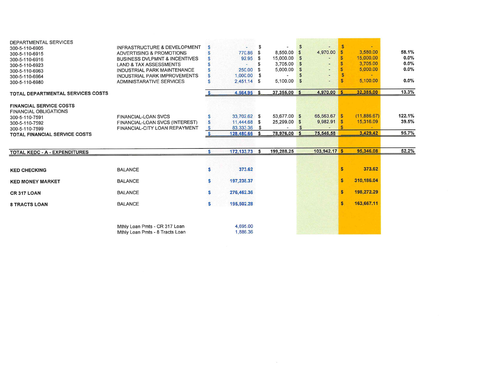| DEPARTMENTAL SERVICES                                  |                                          |    |               |      |              |                |                |              |              |         |
|--------------------------------------------------------|------------------------------------------|----|---------------|------|--------------|----------------|----------------|--------------|--------------|---------|
| 300-5-110-6905                                         | INFRASTRUCTURE & DEVELOPMENT             | S  |               | \$   |              | $\mathfrak{s}$ |                | $\mathbf{s}$ |              |         |
| 300-5-110-6915                                         | ADVERTISING & PROMOTIONS                 | S  | 770.86        | S.   | 8,550.00 \$  |                | 4,970.00       | <b>S</b>     | 3,580.00     | 58.1%   |
| 300-5-110-6916                                         | <b>BUSINESS DVLPMNT &amp; INCENTIVES</b> | s  | 92.95         | - 5  | 15,000.00    | $\mathbf{s}$   |                |              | 15,000.00    | $0.0\%$ |
| 300-5-110-6923                                         | <b>LAND &amp; TAX ASSESSMENTS</b>        |    |               | S    | 3,705.00     | $\mathfrak{s}$ |                |              | 3,705.00     | 0.0%    |
| 300-5-110-6963                                         | INDUSTRIAL PARK MAINTENANCE              | S  | 250.00        | £.   | 5,000.00     | \$             |                |              | 5,000.00     | 0.0%    |
| 300-5-110-6964                                         | INDUSTRIAL PARK IMPROVEMENTS             | S  | 1.000.00      |      |              |                |                |              |              |         |
| 300-5-110-6980                                         | ADMINISTARATIVE SERVICES                 |    | 2.451.14 \$   |      | 5,100.00     | \$             | $\overline{a}$ |              | 5,100.00     | 0.0%    |
| <b>TOTAL DEPARTMENTAL SERVICES COSTS</b>               |                                          |    | 4.564.95 \$   |      | 37,355.00 \$ |                | 4,970.00       | $\mathbf{s}$ | 32,385.00    | 13.3%   |
| <b>FINANCIAL SERVICE COSTS</b>                         |                                          |    |               |      |              |                |                |              |              |         |
| <b>FINANCIAL OBLIGATIONS</b>                           | <b>FINANCIAL-LOAN SVCS</b>               | S  | 33,702.62 \$  |      | 53.677.00 \$ |                | 65,563.67 \$   |              | (11, 886.67) | 122.1%  |
| 300-5-110-7591                                         | FINANCIAL-LOAN SVCS (INTEREST)           | S  | 11,444.68 \$  |      | 25,299.00 \$ |                | 9,982.91       | - \$         | 15,316.09    | 39.5%   |
| 300-5-110-7592                                         | FINANCIAL-CITY LOAN REPAYMENT            | -S | 83.333.36     | - \$ |              |                |                |              |              |         |
| 300-5-110-7599<br><b>TOTAL FINANCIAL SERVICE COSTS</b> |                                          | S  | 128,480.66 \$ |      | 78,976.00 \$ |                | 75.546.58      |              | 3,429.42     | 95.7%   |
|                                                        |                                          |    |               |      |              |                |                |              |              |         |
| TOTAL KEDC - A - EXPENDITURES                          |                                          | s  | 172.133.73 \$ |      | 199,288.25   |                | 103,942.17 \$  |              | 95,346.08    | 52.2%   |
|                                                        |                                          |    |               |      |              |                |                |              |              |         |
| <b>KED CHECKING</b>                                    | <b>BALANCE</b>                           |    | 373.62        |      |              |                |                | S            | 373.62       |         |
| <b>KED MONEY MARKET</b>                                | <b>BALANCE</b>                           | s  | 197,238.37    |      |              |                |                | S            | 310,186.04   |         |
| <b>CR 317 LOAN</b>                                     | <b>BALANCE</b>                           | s  | 276,462.36    |      |              |                |                | S            | 198,272.29   |         |
| <b>8 TRACTS LOAN</b>                                   | <b>BALANCE</b>                           | S. | 195,502.28    |      |              |                |                | S            | 163,667.11   |         |
|                                                        |                                          |    |               |      |              |                |                |              |              |         |
|                                                        | Mthly Loan Pmts - CR 317 Loan            |    | 4,695.00      |      |              |                |                |              |              |         |
|                                                        | Mthly Loan Pmts - 8 Tracts Loan          |    | 1,886.36      |      |              |                |                |              |              |         |

 $\alpha$  . The set of  $\alpha$  is the set of  $\alpha$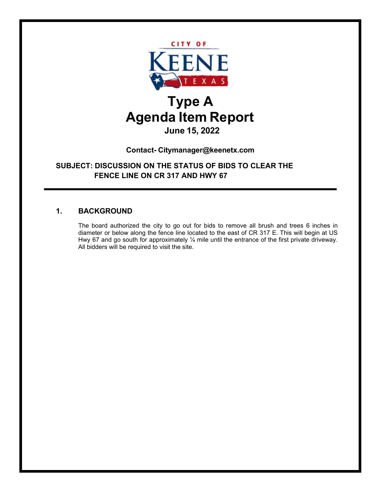

**Contact- Citymanager@keenetx.com**

**SUBJECT: DISCUSSION ON THE STATUS OF BIDS TO CLEAR THE FENCE LINE ON CR 317 AND HWY 67**

### **1. BACKGROUND**

The board authorized the city to go out for bids to remove all brush and trees 6 inches in diameter or below along the fence line located to the east of CR 317 E. This will begin at US Hwy 67 and go south for approximately  $\frac{1}{4}$  mile until the entrance of the first private driveway. All bidders will be required to visit the site.